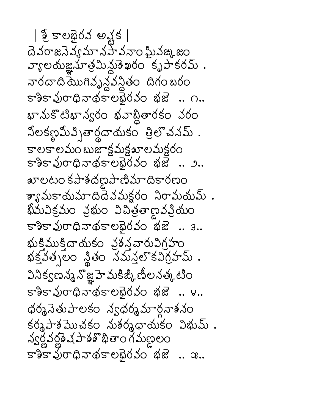| ၌ కాలభైరవ అష్టక | దె వరాజనెవ్వ మాన హేవనాం ఘీవఙ, జం వ్యాలయజ్ఞనూత్రమిన్లుశేఖరం కృపాకరమ్ . నారదాది మొగివృన్ధవన్ధితం దిగంబరం 585206265000020 30 .. 0. భానుకొటిభాన్వరం భవాబ్లితారకం వరం నోలకణ్ణమీవ్బితార్థదాయకం త్రిలొచనమ్. కాలకాలమం బుజాక్షమక్షఖాలమక్షరం 232 మంధిబథిందునం శజ్ .. ఎ.. arలటం కపాశదణైపాణిమాదికారణం శ్యామకాయమాదిదేవమక్గరం నిరామయమ్ . ఖీమవిక్రమం వ్రభుం విచిత్రతాణవవ్రియం కాశికావురాధినాథకాలభైరవం భజే.. 3.. భుక్తిముక్తిదాయకం వ్రశన్ధవారువిగ్రహం  $\frac{1}{4}$   $\frac{1}{4}$   $\frac{1}{4}$   $\frac{1}{4}$   $\frac{1}{4}$   $\frac{1}{4}$   $\frac{1}{4}$   $\frac{1}{4}$   $\frac{1}{4}$   $\frac{1}{4}$   $\frac{1}{4}$   $\frac{1}{4}$   $\frac{1}{4}$   $\frac{1}{4}$   $\frac{1}{4}$   $\frac{1}{4}$   $\frac{1}{4}$   $\frac{1}{4}$   $\frac{1}{4}$   $\frac{1}{4}$   $\frac{1}{4}$   $\frac{1}{4}$  వినిక్వణన్మనొజ్ఞహె మకిజ్కి ణీలనత్కటిం 232 మంధిబథజంత్యం ఇజ .. న.. ధర్మనెతుపాలకం న్వధర్మమార్ధనాశనం  $s$ ర్మపాశమొచకం నుశర్మధాయకం విభుమ్. న్వర్లవర్ణత షహిళ్ళితాం గమణలం కాశికావురాధినాథకాలభెరవం భజే.. ఇ..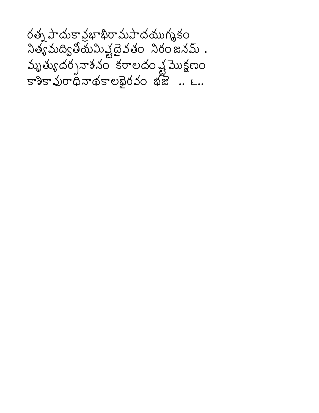రత్న పాదుకావ్రభాభిరామపాదయుగ్మకం  $\lambda$ త్యమద్యితోయమిష్టదైవతం నిరంజనమ్. మృత్యుదర్చనాశనం కరాలదం వ్షమొక్షణం కాశికావురాధినాథకాలభైరవం భజ .. ౬..